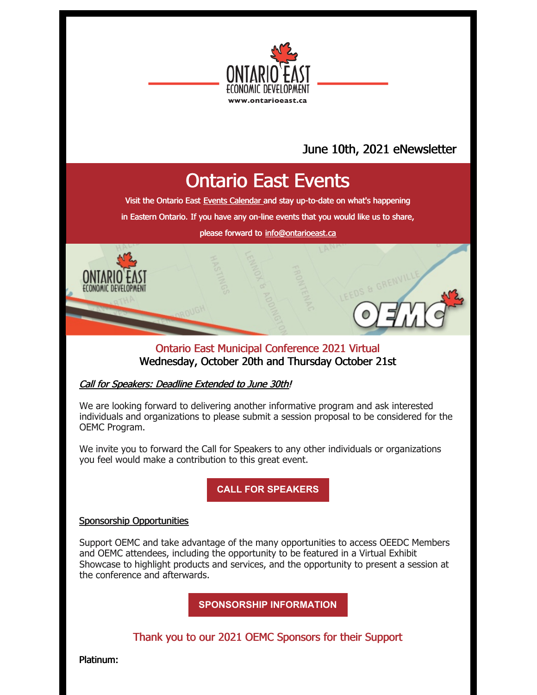

### June 10th, 2021 eNewsletter

### Ontario East Events

Visit the Ontario East Events [Calendar](https://ontarioeast.ca/events) and stay up-to-date on what's happening

in Eastern Ontario. If you have any on-line events that you would like us to share,

please forward to [info@ontarioeast.ca](mailto:info@ontarioeast.ca)

### Ontario East Municipal Conference 2021 Virtual Wednesday, October 20th and Thursday October 21st

#### Call for Speakers: Deadline Extended to June 30th!

We are looking forward to delivering another informative program and ask interested individuals and organizations to please submit a session proposal to be considered for the OEMC Program.

We invite you to forward the Call for Speakers to any other individuals or organizations you feel would make a contribution to this great event.

**CALL FOR [SPEAKERS](https://oemc.ca/call-for-speakers-2021/)**

#### Sponsorship Opportunities

Support OEMC and take advantage of the many opportunities to access OEEDC Members and OEMC attendees, including the opportunity to be featured in a Virtual Exhibit Showcase to highlight products and services, and the opportunity to present a session at the conference and afterwards.

**[SPONSORSHIP](https://oemc.ca/2021-sponsorship-opportunities/) INFORMATION**

Thank you to our 2021 OEMC Sponsors for their Support

Platinum: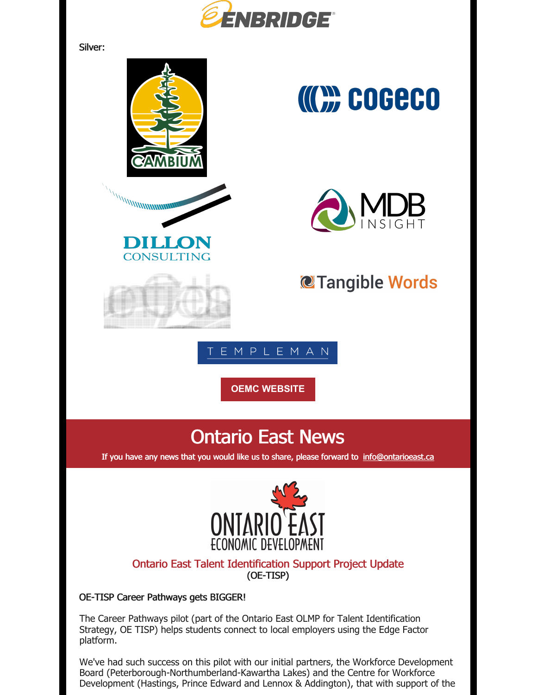

Silver:



# **COGECO**



### **@Tangible Words**

EMPLEMAN

**OEMC [WEBSITE](https://oemc.ca/)**

### Ontario East News

If you have any news that you would like us to share, please forward to [info@ontarioeast.ca](mailto:info@ontarioeast.ca)



### Ontario East Talent Identification Support Project Update (OE-TISP)

#### OE-TISP Career Pathways gets BIGGER!

The Career Pathways pilot (part of the Ontario East OLMP for Talent Identification Strategy, OE TISP) helps students connect to local employers using the Edge Factor platform.

We've had such success on this pilot with our initial partners, the Workforce Development Board (Peterborough-Northumberland-Kawartha Lakes) and the Centre for Workforce Development (Hastings, Prince Edward and Lennox & Addington), that with support of the